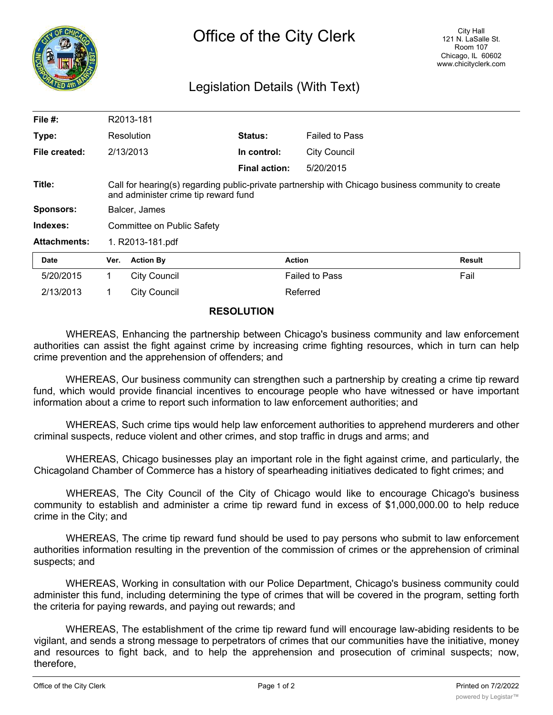

## Legislation Details (With Text)

| File #:             |                                                                                                                                            | R2013-181           |                      |                       |               |
|---------------------|--------------------------------------------------------------------------------------------------------------------------------------------|---------------------|----------------------|-----------------------|---------------|
| Type:               |                                                                                                                                            | Resolution          | <b>Status:</b>       | <b>Failed to Pass</b> |               |
| File created:       |                                                                                                                                            | 2/13/2013           | In control:          | <b>City Council</b>   |               |
|                     |                                                                                                                                            |                     | <b>Final action:</b> | 5/20/2015             |               |
| Title:              | Call for hearing(s) regarding public-private partnership with Chicago business community to create<br>and administer crime tip reward fund |                     |                      |                       |               |
| <b>Sponsors:</b>    | Balcer, James                                                                                                                              |                     |                      |                       |               |
| Indexes:            | Committee on Public Safety                                                                                                                 |                     |                      |                       |               |
| <b>Attachments:</b> | 1. R2013-181.pdf                                                                                                                           |                     |                      |                       |               |
| <b>Date</b>         | Ver.                                                                                                                                       | <b>Action By</b>    |                      | <b>Action</b>         | <b>Result</b> |
| 5/20/2015           | 1.                                                                                                                                         | <b>City Council</b> |                      | <b>Failed to Pass</b> | Fail          |
| 2/13/2013           | 1.                                                                                                                                         | <b>City Council</b> |                      | Referred              |               |

## **RESOLUTION**

WHEREAS, Enhancing the partnership between Chicago's business community and law enforcement authorities can assist the fight against crime by increasing crime fighting resources, which in turn can help crime prevention and the apprehension of offenders; and

WHEREAS, Our business community can strengthen such a partnership by creating a crime tip reward fund, which would provide financial incentives to encourage people who have witnessed or have important information about a crime to report such information to law enforcement authorities; and

WHEREAS, Such crime tips would help law enforcement authorities to apprehend murderers and other criminal suspects, reduce violent and other crimes, and stop traffic in drugs and arms; and

WHEREAS, Chicago businesses play an important role in the fight against crime, and particularly, the Chicagoland Chamber of Commerce has a history of spearheading initiatives dedicated to fight crimes; and

WHEREAS, The City Council of the City of Chicago would like to encourage Chicago's business community to establish and administer a crime tip reward fund in excess of \$1,000,000.00 to help reduce crime in the City; and

WHEREAS, The crime tip reward fund should be used to pay persons who submit to law enforcement authorities information resulting in the prevention of the commission of crimes or the apprehension of criminal suspects; and

WHEREAS, Working in consultation with our Police Department, Chicago's business community could administer this fund, including determining the type of crimes that will be covered in the program, setting forth the criteria for paying rewards, and paying out rewards; and

WHEREAS, The establishment of the crime tip reward fund will encourage law-abiding residents to be vigilant, and sends a strong message to perpetrators of crimes that our communities have the initiative, money and resources to fight back, and to help the apprehension and prosecution of criminal suspects; now, therefore,